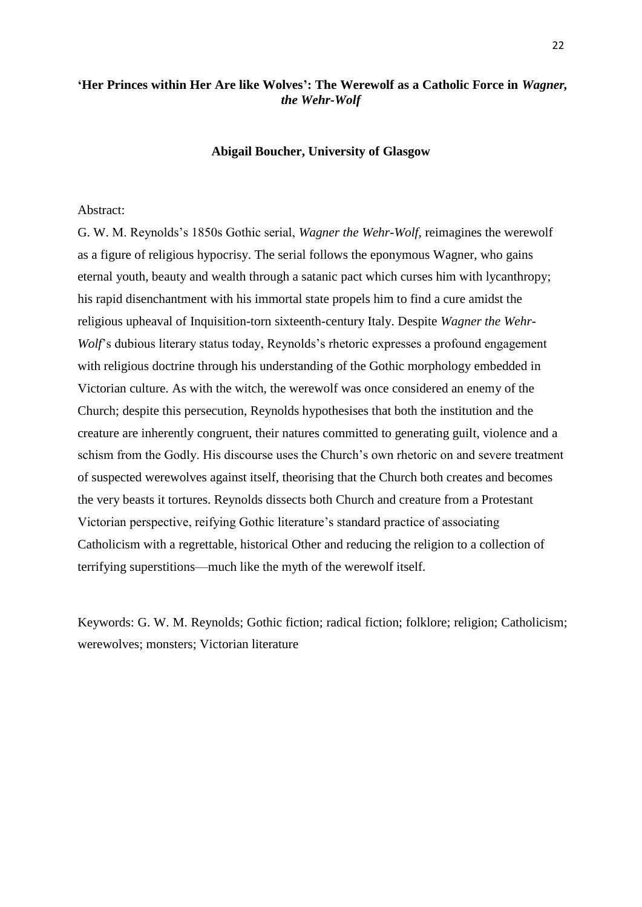# **'Her Princes within Her Are like Wolves': The Werewolf as a Catholic Force in** *Wagner, the Wehr-Wolf*

## **Abigail Boucher, University of Glasgow**

# Abstract:

G. W. M. Reynolds's 1850s Gothic serial, *Wagner the Wehr-Wolf,* reimagines the werewolf as a figure of religious hypocrisy. The serial follows the eponymous Wagner, who gains eternal youth, beauty and wealth through a satanic pact which curses him with lycanthropy; his rapid disenchantment with his immortal state propels him to find a cure amidst the religious upheaval of Inquisition-torn sixteenth-century Italy. Despite *Wagner the Wehr-Wolf*'s dubious literary status today, Reynolds's rhetoric expresses a profound engagement with religious doctrine through his understanding of the Gothic morphology embedded in Victorian culture. As with the witch, the werewolf was once considered an enemy of the Church; despite this persecution, Reynolds hypothesises that both the institution and the creature are inherently congruent, their natures committed to generating guilt, violence and a schism from the Godly. His discourse uses the Church's own rhetoric on and severe treatment of suspected werewolves against itself, theorising that the Church both creates and becomes the very beasts it tortures. Reynolds dissects both Church and creature from a Protestant Victorian perspective, reifying Gothic literature's standard practice of associating Catholicism with a regrettable, historical Other and reducing the religion to a collection of terrifying superstitions—much like the myth of the werewolf itself.

Keywords: G. W. M. Reynolds; Gothic fiction; radical fiction; folklore; religion; Catholicism; werewolves; monsters; Victorian literature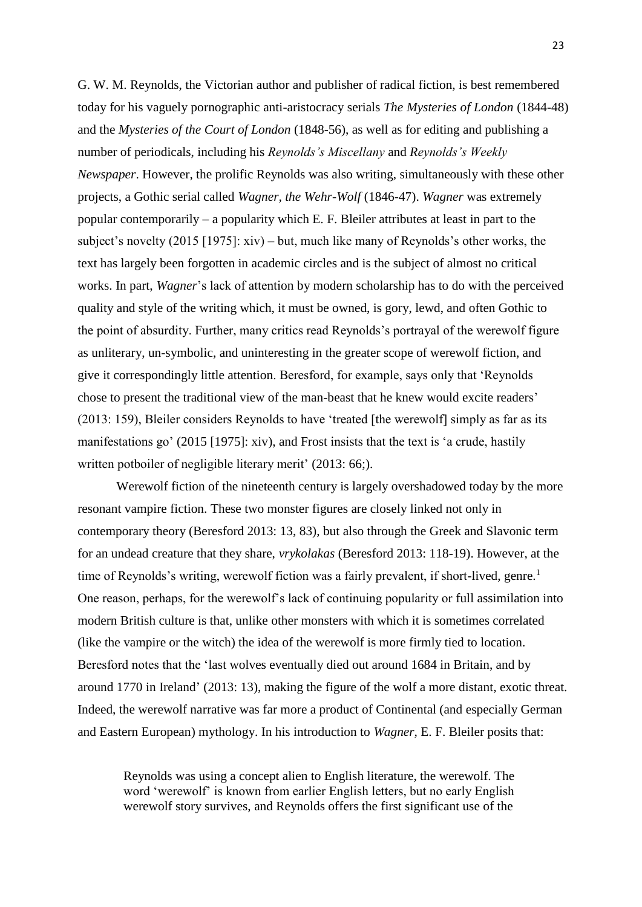G. W. M. Reynolds, the Victorian author and publisher of radical fiction, is best remembered today for his vaguely pornographic anti-aristocracy serials *The Mysteries of London* (1844-48) and the *Mysteries of the Court of London* (1848-56), as well as for editing and publishing a number of periodicals, including his *Reynolds's Miscellany* and *Reynolds's Weekly Newspaper*. However, the prolific Reynolds was also writing, simultaneously with these other projects, a Gothic serial called *Wagner, the Wehr-Wolf* (1846-47). *Wagner* was extremely popular contemporarily – a popularity which E. F. Bleiler attributes at least in part to the subject's novelty (2015 [1975]: xiv) – but, much like many of Reynolds's other works, the text has largely been forgotten in academic circles and is the subject of almost no critical works. In part, *Wagner*'s lack of attention by modern scholarship has to do with the perceived quality and style of the writing which, it must be owned, is gory, lewd, and often Gothic to the point of absurdity. Further, many critics read Reynolds's portrayal of the werewolf figure as unliterary, un-symbolic, and uninteresting in the greater scope of werewolf fiction, and give it correspondingly little attention. Beresford, for example, says only that 'Reynolds chose to present the traditional view of the man-beast that he knew would excite readers' (2013: 159), Bleiler considers Reynolds to have 'treated [the werewolf] simply as far as its manifestations go' (2015 [1975]: xiv), and Frost insists that the text is 'a crude, hastily written potboiler of negligible literary merit' (2013: 66;).

Werewolf fiction of the nineteenth century is largely overshadowed today by the more resonant vampire fiction. These two monster figures are closely linked not only in contemporary theory (Beresford 2013: 13, 83), but also through the Greek and Slavonic term for an undead creature that they share, *vrykolakas* (Beresford 2013: 118-19). However, at the time of Reynolds's writing, werewolf fiction was a fairly prevalent, if short-lived, genre.<sup>1</sup> One reason, perhaps, for the werewolf's lack of continuing popularity or full assimilation into modern British culture is that, unlike other monsters with which it is sometimes correlated (like the vampire or the witch) the idea of the werewolf is more firmly tied to location. Beresford notes that the 'last wolves eventually died out around 1684 in Britain, and by around 1770 in Ireland' (2013: 13), making the figure of the wolf a more distant, exotic threat. Indeed, the werewolf narrative was far more a product of Continental (and especially German and Eastern European) mythology. In his introduction to *Wagner*, E. F. Bleiler posits that:

Reynolds was using a concept alien to English literature, the werewolf. The word 'werewolf' is known from earlier English letters, but no early English werewolf story survives, and Reynolds offers the first significant use of the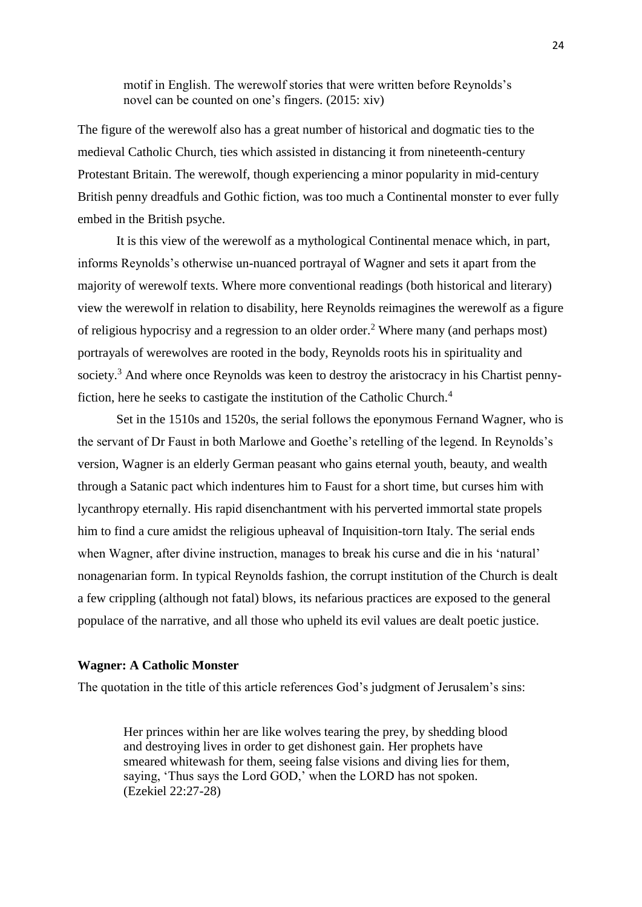motif in English. The werewolf stories that were written before Reynolds's novel can be counted on one's fingers. (2015: xiv)

The figure of the werewolf also has a great number of historical and dogmatic ties to the medieval Catholic Church, ties which assisted in distancing it from nineteenth-century Protestant Britain. The werewolf, though experiencing a minor popularity in mid-century British penny dreadfuls and Gothic fiction, was too much a Continental monster to ever fully embed in the British psyche.

It is this view of the werewolf as a mythological Continental menace which, in part, informs Reynolds's otherwise un-nuanced portrayal of Wagner and sets it apart from the majority of werewolf texts. Where more conventional readings (both historical and literary) view the werewolf in relation to disability, here Reynolds reimagines the werewolf as a figure of religious hypocrisy and a regression to an older order.<sup>2</sup> Where many (and perhaps most) portrayals of werewolves are rooted in the body, Reynolds roots his in spirituality and society.<sup>3</sup> And where once Reynolds was keen to destroy the aristocracy in his Chartist pennyfiction, here he seeks to castigate the institution of the Catholic Church.<sup>4</sup>

Set in the 1510s and 1520s, the serial follows the eponymous Fernand Wagner, who is the servant of Dr Faust in both Marlowe and Goethe's retelling of the legend. In Reynolds's version, Wagner is an elderly German peasant who gains eternal youth, beauty, and wealth through a Satanic pact which indentures him to Faust for a short time, but curses him with lycanthropy eternally. His rapid disenchantment with his perverted immortal state propels him to find a cure amidst the religious upheaval of Inquisition-torn Italy. The serial ends when Wagner, after divine instruction, manages to break his curse and die in his 'natural' nonagenarian form. In typical Reynolds fashion, the corrupt institution of the Church is dealt a few crippling (although not fatal) blows, its nefarious practices are exposed to the general populace of the narrative, and all those who upheld its evil values are dealt poetic justice.

#### **Wagner: A Catholic Monster**

The quotation in the title of this article references God's judgment of Jerusalem's sins:

Her princes within her are like wolves tearing the prey, by shedding blood and destroying lives in order to get dishonest gain. Her prophets have smeared whitewash for them, seeing false visions and diving lies for them, saying, 'Thus says the Lord GOD,' when the LORD has not spoken. (Ezekiel 22:27-28)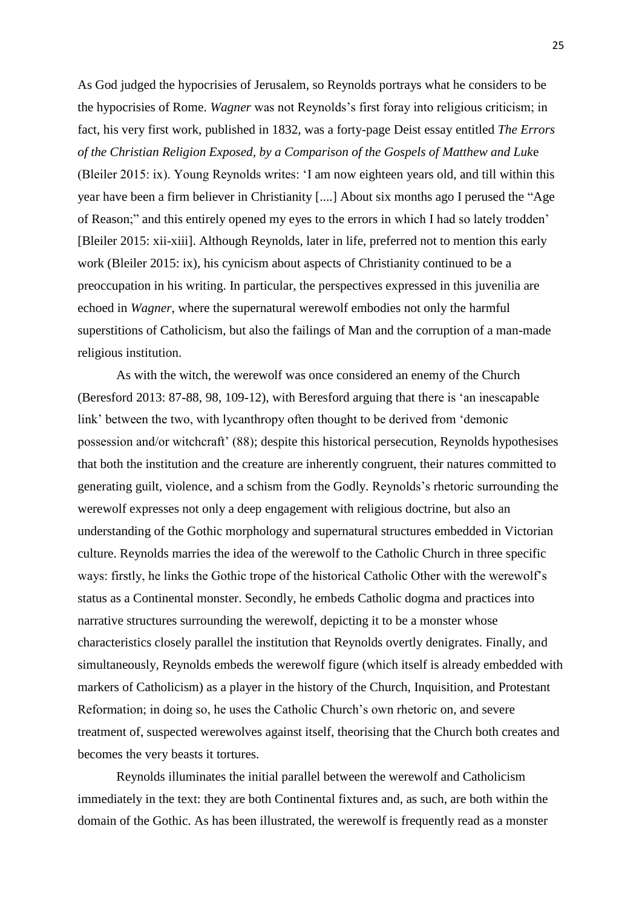As God judged the hypocrisies of Jerusalem, so Reynolds portrays what he considers to be the hypocrisies of Rome. *Wagner* was not Reynolds's first foray into religious criticism; in fact, his very first work, published in 1832, was a forty-page Deist essay entitled *The Errors of the Christian Religion Exposed, by a Comparison of the Gospels of Matthew and Luk*e (Bleiler 2015: ix). Young Reynolds writes: 'I am now eighteen years old, and till within this year have been a firm believer in Christianity [....] About six months ago I perused the "Age of Reason;" and this entirely opened my eyes to the errors in which I had so lately trodden' [Bleiler 2015: xii-xiii]. Although Reynolds, later in life, preferred not to mention this early work (Bleiler 2015: ix), his cynicism about aspects of Christianity continued to be a preoccupation in his writing. In particular, the perspectives expressed in this juvenilia are echoed in *Wagner*, where the supernatural werewolf embodies not only the harmful superstitions of Catholicism, but also the failings of Man and the corruption of a man-made religious institution.

As with the witch, the werewolf was once considered an enemy of the Church (Beresford 2013: 87-88, 98, 109-12), with Beresford arguing that there is 'an inescapable link' between the two, with lycanthropy often thought to be derived from 'demonic possession and/or witchcraft' (88); despite this historical persecution, Reynolds hypothesises that both the institution and the creature are inherently congruent, their natures committed to generating guilt, violence, and a schism from the Godly. Reynolds's rhetoric surrounding the werewolf expresses not only a deep engagement with religious doctrine, but also an understanding of the Gothic morphology and supernatural structures embedded in Victorian culture. Reynolds marries the idea of the werewolf to the Catholic Church in three specific ways: firstly, he links the Gothic trope of the historical Catholic Other with the werewolf's status as a Continental monster. Secondly, he embeds Catholic dogma and practices into narrative structures surrounding the werewolf, depicting it to be a monster whose characteristics closely parallel the institution that Reynolds overtly denigrates. Finally, and simultaneously, Reynolds embeds the werewolf figure (which itself is already embedded with markers of Catholicism) as a player in the history of the Church, Inquisition, and Protestant Reformation; in doing so, he uses the Catholic Church's own rhetoric on, and severe treatment of, suspected werewolves against itself, theorising that the Church both creates and becomes the very beasts it tortures.

Reynolds illuminates the initial parallel between the werewolf and Catholicism immediately in the text: they are both Continental fixtures and, as such, are both within the domain of the Gothic. As has been illustrated, the werewolf is frequently read as a monster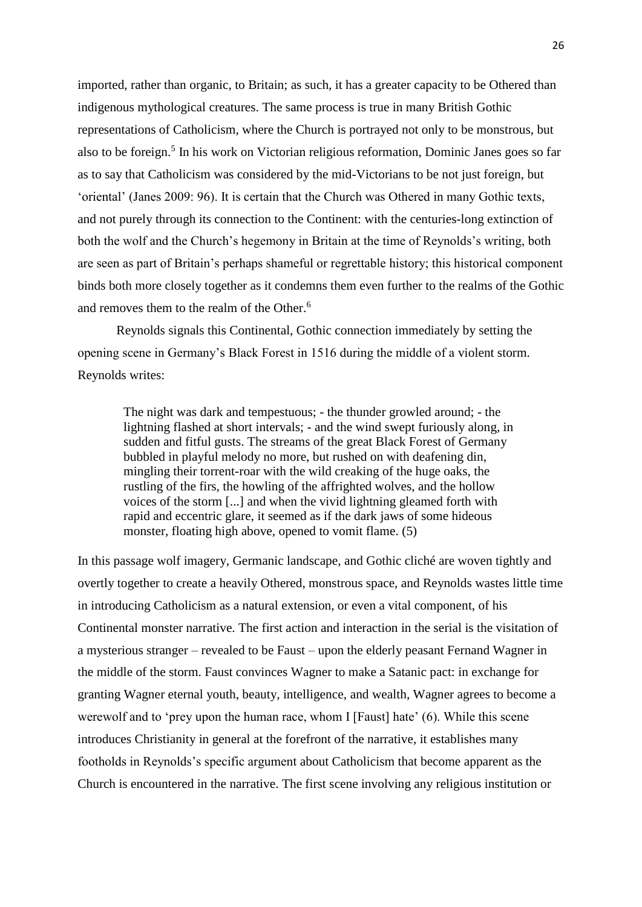imported, rather than organic, to Britain; as such, it has a greater capacity to be Othered than indigenous mythological creatures. The same process is true in many British Gothic representations of Catholicism, where the Church is portrayed not only to be monstrous, but also to be foreign.<sup>5</sup> In his work on Victorian religious reformation, Dominic Janes goes so far as to say that Catholicism was considered by the mid-Victorians to be not just foreign, but 'oriental' (Janes 2009: 96). It is certain that the Church was Othered in many Gothic texts, and not purely through its connection to the Continent: with the centuries-long extinction of both the wolf and the Church's hegemony in Britain at the time of Reynolds's writing, both are seen as part of Britain's perhaps shameful or regrettable history; this historical component binds both more closely together as it condemns them even further to the realms of the Gothic and removes them to the realm of the Other.<sup>6</sup>

Reynolds signals this Continental, Gothic connection immediately by setting the opening scene in Germany's Black Forest in 1516 during the middle of a violent storm. Reynolds writes:

The night was dark and tempestuous; - the thunder growled around; - the lightning flashed at short intervals; - and the wind swept furiously along, in sudden and fitful gusts. The streams of the great Black Forest of Germany bubbled in playful melody no more, but rushed on with deafening din, mingling their torrent-roar with the wild creaking of the huge oaks, the rustling of the firs, the howling of the affrighted wolves, and the hollow voices of the storm [...] and when the vivid lightning gleamed forth with rapid and eccentric glare, it seemed as if the dark jaws of some hideous monster, floating high above, opened to vomit flame. (5)

In this passage wolf imagery, Germanic landscape, and Gothic cliché are woven tightly and overtly together to create a heavily Othered, monstrous space, and Reynolds wastes little time in introducing Catholicism as a natural extension, or even a vital component, of his Continental monster narrative. The first action and interaction in the serial is the visitation of a mysterious stranger – revealed to be Faust – upon the elderly peasant Fernand Wagner in the middle of the storm. Faust convinces Wagner to make a Satanic pact: in exchange for granting Wagner eternal youth, beauty, intelligence, and wealth, Wagner agrees to become a werewolf and to 'prey upon the human race, whom I [Faust] hate' (6). While this scene introduces Christianity in general at the forefront of the narrative, it establishes many footholds in Reynolds's specific argument about Catholicism that become apparent as the Church is encountered in the narrative. The first scene involving any religious institution or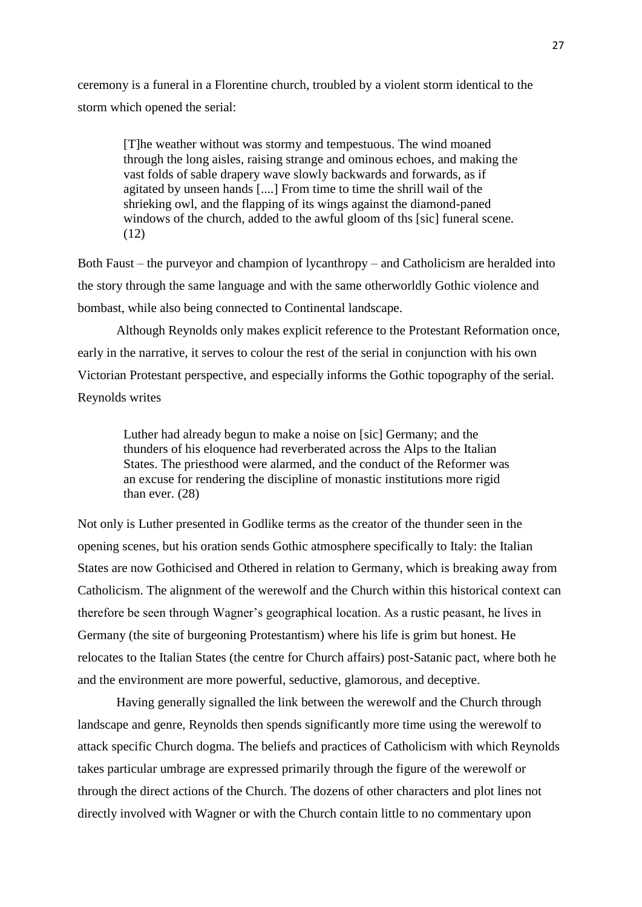ceremony is a funeral in a Florentine church, troubled by a violent storm identical to the storm which opened the serial:

[T]he weather without was stormy and tempestuous. The wind moaned through the long aisles, raising strange and ominous echoes, and making the vast folds of sable drapery wave slowly backwards and forwards, as if agitated by unseen hands [....] From time to time the shrill wail of the shrieking owl, and the flapping of its wings against the diamond-paned windows of the church, added to the awful gloom of ths [sic] funeral scene. (12)

Both Faust – the purveyor and champion of lycanthropy – and Catholicism are heralded into the story through the same language and with the same otherworldly Gothic violence and bombast, while also being connected to Continental landscape.

Although Reynolds only makes explicit reference to the Protestant Reformation once, early in the narrative, it serves to colour the rest of the serial in conjunction with his own Victorian Protestant perspective, and especially informs the Gothic topography of the serial. Reynolds writes

Luther had already begun to make a noise on [sic] Germany; and the thunders of his eloquence had reverberated across the Alps to the Italian States. The priesthood were alarmed, and the conduct of the Reformer was an excuse for rendering the discipline of monastic institutions more rigid than ever. (28)

Not only is Luther presented in Godlike terms as the creator of the thunder seen in the opening scenes, but his oration sends Gothic atmosphere specifically to Italy: the Italian States are now Gothicised and Othered in relation to Germany, which is breaking away from Catholicism. The alignment of the werewolf and the Church within this historical context can therefore be seen through Wagner's geographical location. As a rustic peasant, he lives in Germany (the site of burgeoning Protestantism) where his life is grim but honest. He relocates to the Italian States (the centre for Church affairs) post-Satanic pact, where both he and the environment are more powerful, seductive, glamorous, and deceptive.

Having generally signalled the link between the werewolf and the Church through landscape and genre, Reynolds then spends significantly more time using the werewolf to attack specific Church dogma. The beliefs and practices of Catholicism with which Reynolds takes particular umbrage are expressed primarily through the figure of the werewolf or through the direct actions of the Church. The dozens of other characters and plot lines not directly involved with Wagner or with the Church contain little to no commentary upon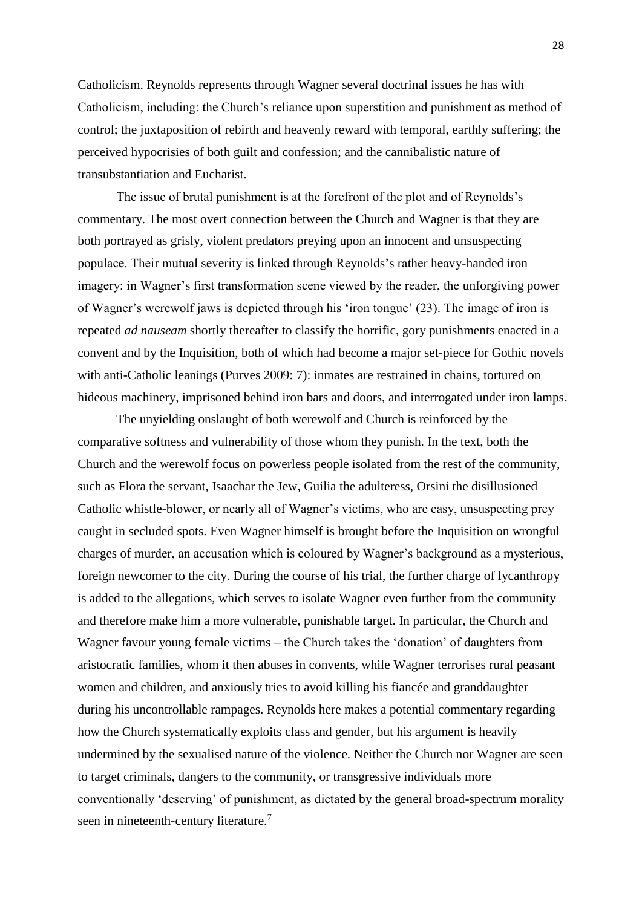Catholicism. Reynolds represents through Wagner several doctrinal issues he has with Catholicism, including: the Church's reliance upon superstition and punishment as method of control; the juxtaposition of rebirth and heavenly reward with temporal, earthly suffering; the perceived hypocrisies of both guilt and confession; and the cannibalistic nature of transubstantiation and Eucharist.

The issue of brutal punishment is at the forefront of the plot and of Reynolds's commentary. The most overt connection between the Church and Wagner is that they are both portrayed as grisly, violent predators preying upon an innocent and unsuspecting populace. Their mutual severity is linked through Reynolds's rather heavy-handed iron imagery: in Wagner's first transformation scene viewed by the reader, the unforgiving power of Wagner's werewolf jaws is depicted through his 'iron tongue' (23). The image of iron is repeated *ad nauseam* shortly thereafter to classify the horrific, gory punishments enacted in a convent and by the Inquisition, both of which had become a major set-piece for Gothic novels with anti-Catholic leanings (Purves 2009: 7): inmates are restrained in chains, tortured on hideous machinery, imprisoned behind iron bars and doors, and interrogated under iron lamps.

The unyielding onslaught of both werewolf and Church is reinforced by the comparative softness and vulnerability of those whom they punish. In the text, both the Church and the werewolf focus on powerless people isolated from the rest of the community, such as Flora the servant, Isaachar the Jew, Guilia the adulteress, Orsini the disillusioned Catholic whistle-blower, or nearly all of Wagner's victims, who are easy, unsuspecting prey caught in secluded spots. Even Wagner himself is brought before the Inquisition on wrongful charges of murder, an accusation which is coloured by Wagner's background as a mysterious, foreign newcomer to the city. During the course of his trial, the further charge of lycanthropy is added to the allegations, which serves to isolate Wagner even further from the community and therefore make him a more vulnerable, punishable target. In particular, the Church and Wagner favour young female victims – the Church takes the 'donation' of daughters from aristocratic families, whom it then abuses in convents, while Wagner terrorises rural peasant women and children, and anxiously tries to avoid killing his fiancée and granddaughter during his uncontrollable rampages. Reynolds here makes a potential commentary regarding how the Church systematically exploits class and gender, but his argument is heavily undermined by the sexualised nature of the violence. Neither the Church nor Wagner are seen to target criminals, dangers to the community, or transgressive individuals more conventionally 'deserving' of punishment, as dictated by the general broad-spectrum morality seen in nineteenth-century literature.<sup>7</sup>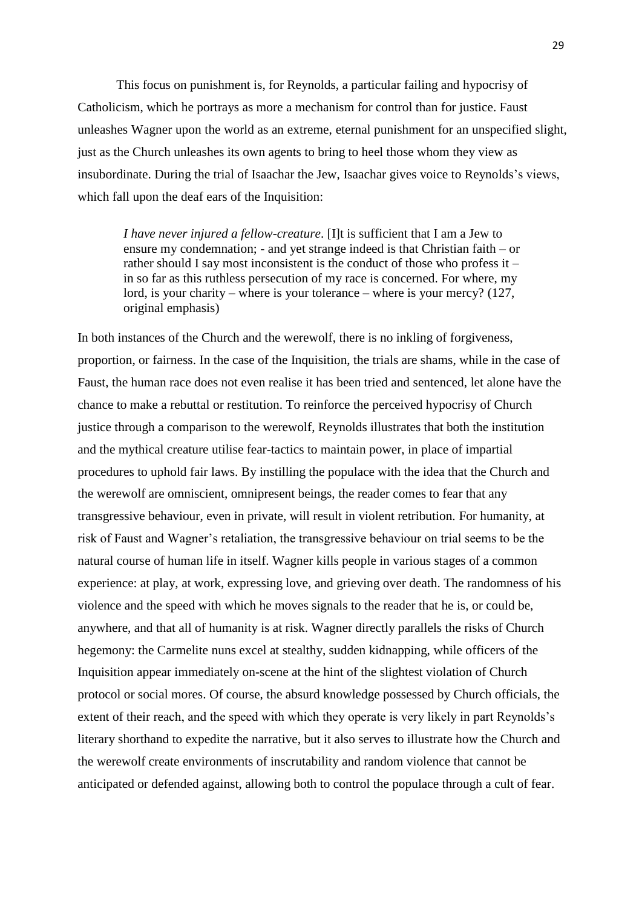This focus on punishment is, for Reynolds, a particular failing and hypocrisy of Catholicism, which he portrays as more a mechanism for control than for justice. Faust unleashes Wagner upon the world as an extreme, eternal punishment for an unspecified slight, just as the Church unleashes its own agents to bring to heel those whom they view as insubordinate. During the trial of Isaachar the Jew, Isaachar gives voice to Reynolds's views, which fall upon the deaf ears of the Inquisition:

*I have never injured a fellow-creature*. [I]t is sufficient that I am a Jew to ensure my condemnation; - and yet strange indeed is that Christian faith – or rather should I say most inconsistent is the conduct of those who profess it – in so far as this ruthless persecution of my race is concerned. For where, my lord, is your charity – where is your tolerance – where is your mercy? (127, original emphasis)

In both instances of the Church and the werewolf, there is no inkling of forgiveness, proportion, or fairness. In the case of the Inquisition, the trials are shams, while in the case of Faust, the human race does not even realise it has been tried and sentenced, let alone have the chance to make a rebuttal or restitution. To reinforce the perceived hypocrisy of Church justice through a comparison to the werewolf, Reynolds illustrates that both the institution and the mythical creature utilise fear-tactics to maintain power, in place of impartial procedures to uphold fair laws. By instilling the populace with the idea that the Church and the werewolf are omniscient, omnipresent beings, the reader comes to fear that any transgressive behaviour, even in private, will result in violent retribution. For humanity, at risk of Faust and Wagner's retaliation, the transgressive behaviour on trial seems to be the natural course of human life in itself. Wagner kills people in various stages of a common experience: at play, at work, expressing love, and grieving over death. The randomness of his violence and the speed with which he moves signals to the reader that he is, or could be, anywhere, and that all of humanity is at risk. Wagner directly parallels the risks of Church hegemony: the Carmelite nuns excel at stealthy, sudden kidnapping, while officers of the Inquisition appear immediately on-scene at the hint of the slightest violation of Church protocol or social mores. Of course, the absurd knowledge possessed by Church officials, the extent of their reach, and the speed with which they operate is very likely in part Reynolds's literary shorthand to expedite the narrative, but it also serves to illustrate how the Church and the werewolf create environments of inscrutability and random violence that cannot be anticipated or defended against, allowing both to control the populace through a cult of fear.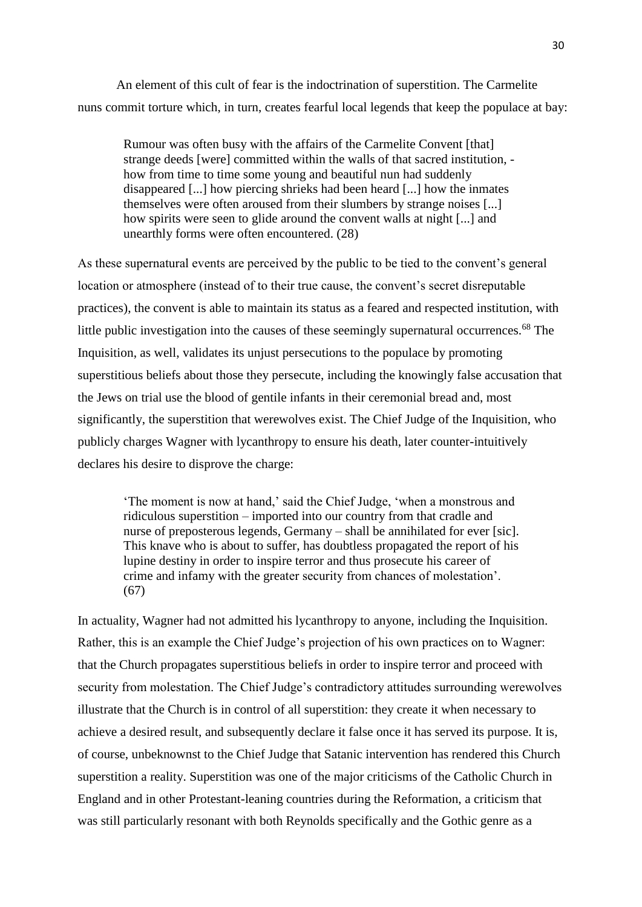An element of this cult of fear is the indoctrination of superstition. The Carmelite nuns commit torture which, in turn, creates fearful local legends that keep the populace at bay:

Rumour was often busy with the affairs of the Carmelite Convent [that] strange deeds [were] committed within the walls of that sacred institution, how from time to time some young and beautiful nun had suddenly disappeared [...] how piercing shrieks had been heard [...] how the inmates themselves were often aroused from their slumbers by strange noises [...] how spirits were seen to glide around the convent walls at night [...] and unearthly forms were often encountered. (28)

As these supernatural events are perceived by the public to be tied to the convent's general location or atmosphere (instead of to their true cause, the convent's secret disreputable practices), the convent is able to maintain its status as a feared and respected institution, with little public investigation into the causes of these seemingly supernatural occurrences.<sup>68</sup> The Inquisition, as well, validates its unjust persecutions to the populace by promoting superstitious beliefs about those they persecute, including the knowingly false accusation that the Jews on trial use the blood of gentile infants in their ceremonial bread and, most significantly, the superstition that werewolves exist. The Chief Judge of the Inquisition, who publicly charges Wagner with lycanthropy to ensure his death, later counter-intuitively declares his desire to disprove the charge:

'The moment is now at hand,' said the Chief Judge, 'when a monstrous and ridiculous superstition – imported into our country from that cradle and nurse of preposterous legends, Germany – shall be annihilated for ever [sic]. This knave who is about to suffer, has doubtless propagated the report of his lupine destiny in order to inspire terror and thus prosecute his career of crime and infamy with the greater security from chances of molestation'. (67)

In actuality, Wagner had not admitted his lycanthropy to anyone, including the Inquisition. Rather, this is an example the Chief Judge's projection of his own practices on to Wagner: that the Church propagates superstitious beliefs in order to inspire terror and proceed with security from molestation. The Chief Judge's contradictory attitudes surrounding werewolves illustrate that the Church is in control of all superstition: they create it when necessary to achieve a desired result, and subsequently declare it false once it has served its purpose. It is, of course, unbeknownst to the Chief Judge that Satanic intervention has rendered this Church superstition a reality. Superstition was one of the major criticisms of the Catholic Church in England and in other Protestant-leaning countries during the Reformation, a criticism that was still particularly resonant with both Reynolds specifically and the Gothic genre as a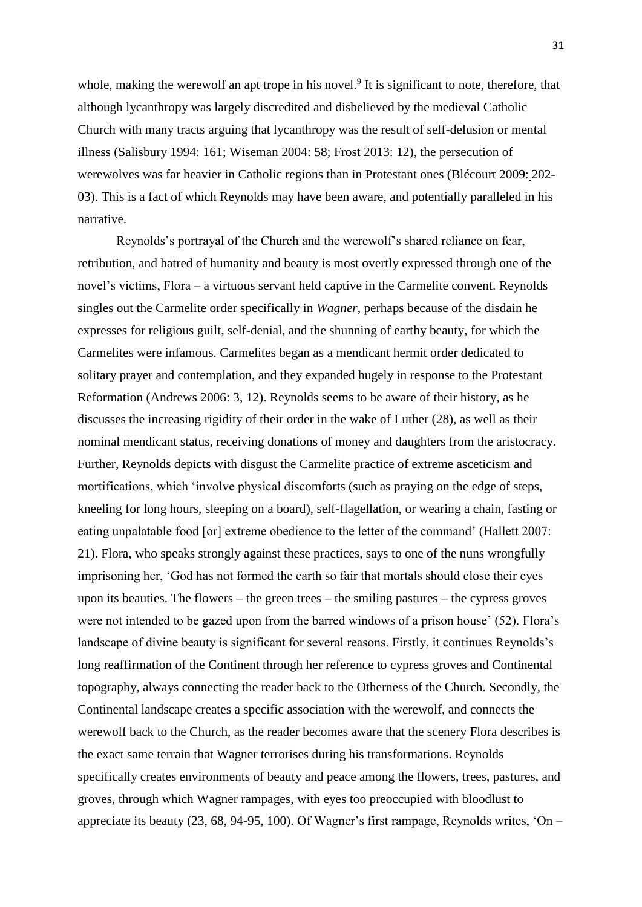whole, making the werewolf an apt trope in his novel.<sup>9</sup> It is significant to note, therefore, that although lycanthropy was largely discredited and disbelieved by the medieval Catholic Church with many tracts arguing that lycanthropy was the result of self-delusion or mental illness (Salisbury 1994: 161; Wiseman 2004: 58; Frost 2013: 12), the persecution of werewolves was far heavier in Catholic regions than in Protestant ones (Blécourt 2009: 202- 03). This is a fact of which Reynolds may have been aware, and potentially paralleled in his narrative.

Reynolds's portrayal of the Church and the werewolf's shared reliance on fear, retribution, and hatred of humanity and beauty is most overtly expressed through one of the novel's victims, Flora – a virtuous servant held captive in the Carmelite convent. Reynolds singles out the Carmelite order specifically in *Wagner*, perhaps because of the disdain he expresses for religious guilt, self-denial, and the shunning of earthy beauty, for which the Carmelites were infamous. Carmelites began as a mendicant hermit order dedicated to solitary prayer and contemplation, and they expanded hugely in response to the Protestant Reformation (Andrews 2006: 3, 12). Reynolds seems to be aware of their history, as he discusses the increasing rigidity of their order in the wake of Luther (28), as well as their nominal mendicant status, receiving donations of money and daughters from the aristocracy. Further, Reynolds depicts with disgust the Carmelite practice of extreme asceticism and mortifications, which 'involve physical discomforts (such as praying on the edge of steps, kneeling for long hours, sleeping on a board), self-flagellation, or wearing a chain, fasting or eating unpalatable food [or] extreme obedience to the letter of the command' (Hallett 2007: 21). Flora, who speaks strongly against these practices, says to one of the nuns wrongfully imprisoning her, 'God has not formed the earth so fair that mortals should close their eyes upon its beauties. The flowers – the green trees – the smiling pastures – the cypress groves were not intended to be gazed upon from the barred windows of a prison house' (52). Flora's landscape of divine beauty is significant for several reasons. Firstly, it continues Reynolds's long reaffirmation of the Continent through her reference to cypress groves and Continental topography, always connecting the reader back to the Otherness of the Church. Secondly, the Continental landscape creates a specific association with the werewolf, and connects the werewolf back to the Church, as the reader becomes aware that the scenery Flora describes is the exact same terrain that Wagner terrorises during his transformations. Reynolds specifically creates environments of beauty and peace among the flowers, trees, pastures, and groves, through which Wagner rampages, with eyes too preoccupied with bloodlust to appreciate its beauty (23, 68, 94-95, 100). Of Wagner's first rampage, Reynolds writes, 'On –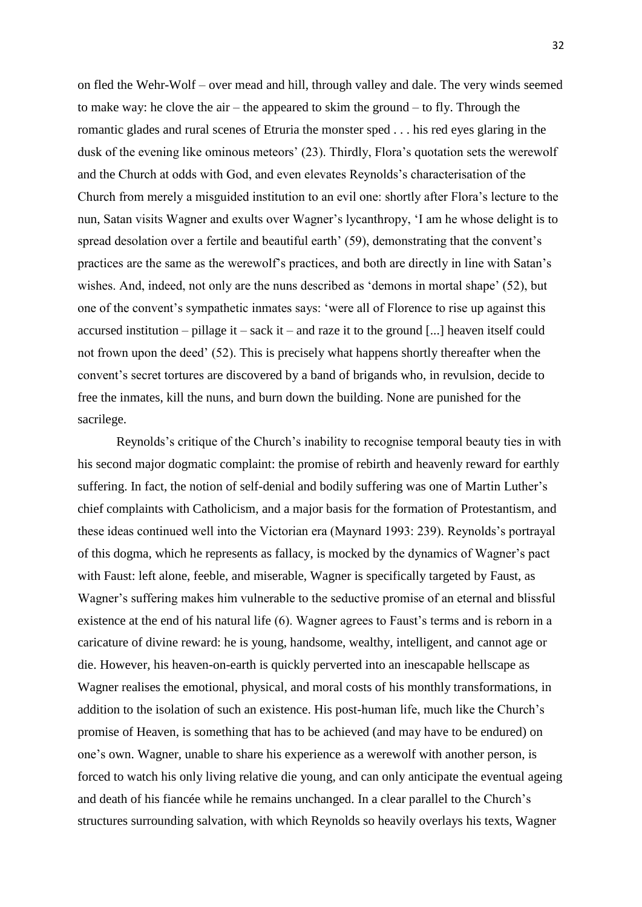on fled the Wehr-Wolf – over mead and hill, through valley and dale. The very winds seemed to make way: he clove the air – the appeared to skim the ground – to fly. Through the romantic glades and rural scenes of Etruria the monster sped . . . his red eyes glaring in the dusk of the evening like ominous meteors' (23). Thirdly, Flora's quotation sets the werewolf and the Church at odds with God, and even elevates Reynolds's characterisation of the Church from merely a misguided institution to an evil one: shortly after Flora's lecture to the nun, Satan visits Wagner and exults over Wagner's lycanthropy, 'I am he whose delight is to spread desolation over a fertile and beautiful earth' (59), demonstrating that the convent's practices are the same as the werewolf's practices, and both are directly in line with Satan's wishes. And, indeed, not only are the nuns described as 'demons in mortal shape' (52), but one of the convent's sympathetic inmates says: 'were all of Florence to rise up against this accursed institution – pillage it – sack it – and raze it to the ground [...] heaven itself could not frown upon the deed' (52). This is precisely what happens shortly thereafter when the convent's secret tortures are discovered by a band of brigands who, in revulsion, decide to free the inmates, kill the nuns, and burn down the building. None are punished for the sacrilege.

Reynolds's critique of the Church's inability to recognise temporal beauty ties in with his second major dogmatic complaint: the promise of rebirth and heavenly reward for earthly suffering. In fact, the notion of self-denial and bodily suffering was one of Martin Luther's chief complaints with Catholicism, and a major basis for the formation of Protestantism, and these ideas continued well into the Victorian era (Maynard 1993: 239). Reynolds's portrayal of this dogma, which he represents as fallacy, is mocked by the dynamics of Wagner's pact with Faust: left alone, feeble, and miserable, Wagner is specifically targeted by Faust, as Wagner's suffering makes him vulnerable to the seductive promise of an eternal and blissful existence at the end of his natural life (6). Wagner agrees to Faust's terms and is reborn in a caricature of divine reward: he is young, handsome, wealthy, intelligent, and cannot age or die. However, his heaven-on-earth is quickly perverted into an inescapable hellscape as Wagner realises the emotional, physical, and moral costs of his monthly transformations, in addition to the isolation of such an existence. His post-human life, much like the Church's promise of Heaven, is something that has to be achieved (and may have to be endured) on one's own. Wagner, unable to share his experience as a werewolf with another person, is forced to watch his only living relative die young, and can only anticipate the eventual ageing and death of his fiancée while he remains unchanged. In a clear parallel to the Church's structures surrounding salvation, with which Reynolds so heavily overlays his texts, Wagner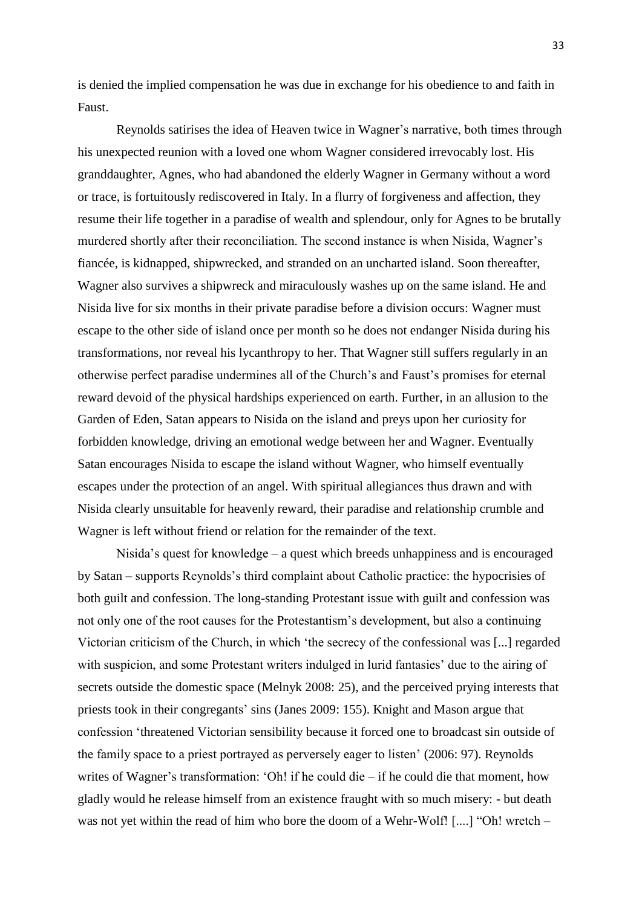is denied the implied compensation he was due in exchange for his obedience to and faith in Faust.

Reynolds satirises the idea of Heaven twice in Wagner's narrative, both times through his unexpected reunion with a loved one whom Wagner considered irrevocably lost. His granddaughter, Agnes, who had abandoned the elderly Wagner in Germany without a word or trace, is fortuitously rediscovered in Italy. In a flurry of forgiveness and affection, they resume their life together in a paradise of wealth and splendour, only for Agnes to be brutally murdered shortly after their reconciliation. The second instance is when Nisida, Wagner's fiancée, is kidnapped, shipwrecked, and stranded on an uncharted island. Soon thereafter, Wagner also survives a shipwreck and miraculously washes up on the same island. He and Nisida live for six months in their private paradise before a division occurs: Wagner must escape to the other side of island once per month so he does not endanger Nisida during his transformations, nor reveal his lycanthropy to her. That Wagner still suffers regularly in an otherwise perfect paradise undermines all of the Church's and Faust's promises for eternal reward devoid of the physical hardships experienced on earth. Further, in an allusion to the Garden of Eden, Satan appears to Nisida on the island and preys upon her curiosity for forbidden knowledge, driving an emotional wedge between her and Wagner. Eventually Satan encourages Nisida to escape the island without Wagner, who himself eventually escapes under the protection of an angel. With spiritual allegiances thus drawn and with Nisida clearly unsuitable for heavenly reward, their paradise and relationship crumble and Wagner is left without friend or relation for the remainder of the text.

Nisida's quest for knowledge – a quest which breeds unhappiness and is encouraged by Satan – supports Reynolds's third complaint about Catholic practice: the hypocrisies of both guilt and confession. The long-standing Protestant issue with guilt and confession was not only one of the root causes for the Protestantism's development, but also a continuing Victorian criticism of the Church, in which 'the secrecy of the confessional was [...] regarded with suspicion, and some Protestant writers indulged in lurid fantasies' due to the airing of secrets outside the domestic space (Melnyk 2008: 25), and the perceived prying interests that priests took in their congregants' sins (Janes 2009: 155). Knight and Mason argue that confession 'threatened Victorian sensibility because it forced one to broadcast sin outside of the family space to a priest portrayed as perversely eager to listen' (2006: 97). Reynolds writes of Wagner's transformation: 'Oh! if he could die – if he could die that moment, how gladly would he release himself from an existence fraught with so much misery: - but death was not yet within the read of him who bore the doom of a Wehr-Wolf! [....] "Oh! wretch –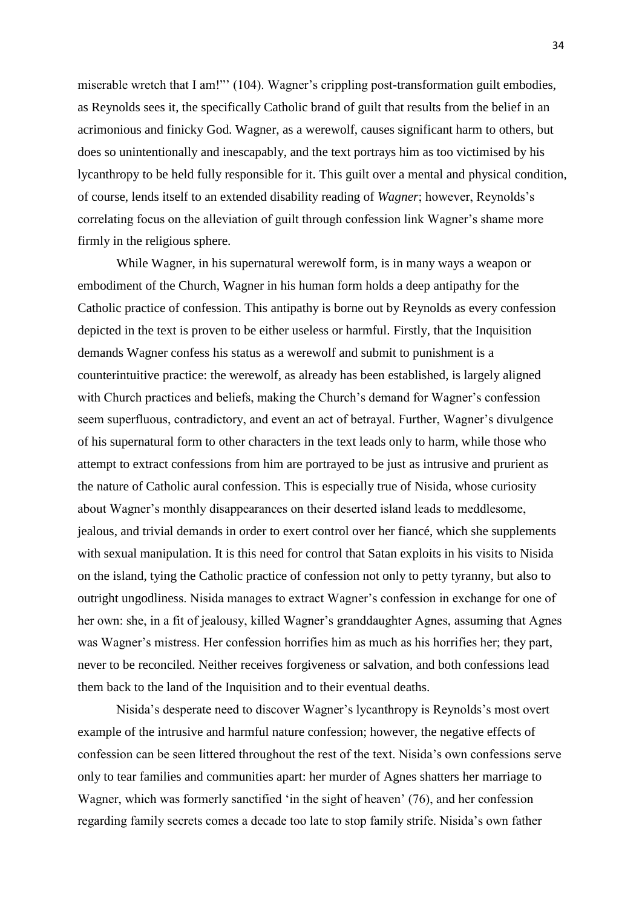miserable wretch that I am!"' (104). Wagner's crippling post-transformation guilt embodies, as Reynolds sees it, the specifically Catholic brand of guilt that results from the belief in an acrimonious and finicky God. Wagner, as a werewolf, causes significant harm to others, but does so unintentionally and inescapably, and the text portrays him as too victimised by his lycanthropy to be held fully responsible for it. This guilt over a mental and physical condition, of course, lends itself to an extended disability reading of *Wagner*; however, Reynolds's correlating focus on the alleviation of guilt through confession link Wagner's shame more firmly in the religious sphere.

While Wagner, in his supernatural werewolf form, is in many ways a weapon or embodiment of the Church, Wagner in his human form holds a deep antipathy for the Catholic practice of confession. This antipathy is borne out by Reynolds as every confession depicted in the text is proven to be either useless or harmful. Firstly, that the Inquisition demands Wagner confess his status as a werewolf and submit to punishment is a counterintuitive practice: the werewolf, as already has been established, is largely aligned with Church practices and beliefs, making the Church's demand for Wagner's confession seem superfluous, contradictory, and event an act of betrayal. Further, Wagner's divulgence of his supernatural form to other characters in the text leads only to harm, while those who attempt to extract confessions from him are portrayed to be just as intrusive and prurient as the nature of Catholic aural confession. This is especially true of Nisida, whose curiosity about Wagner's monthly disappearances on their deserted island leads to meddlesome, jealous, and trivial demands in order to exert control over her fiancé, which she supplements with sexual manipulation. It is this need for control that Satan exploits in his visits to Nisida on the island, tying the Catholic practice of confession not only to petty tyranny, but also to outright ungodliness. Nisida manages to extract Wagner's confession in exchange for one of her own: she, in a fit of jealousy, killed Wagner's granddaughter Agnes, assuming that Agnes was Wagner's mistress. Her confession horrifies him as much as his horrifies her; they part, never to be reconciled. Neither receives forgiveness or salvation, and both confessions lead them back to the land of the Inquisition and to their eventual deaths.

Nisida's desperate need to discover Wagner's lycanthropy is Reynolds's most overt example of the intrusive and harmful nature confession; however, the negative effects of confession can be seen littered throughout the rest of the text. Nisida's own confessions serve only to tear families and communities apart: her murder of Agnes shatters her marriage to Wagner, which was formerly sanctified 'in the sight of heaven' (76), and her confession regarding family secrets comes a decade too late to stop family strife. Nisida's own father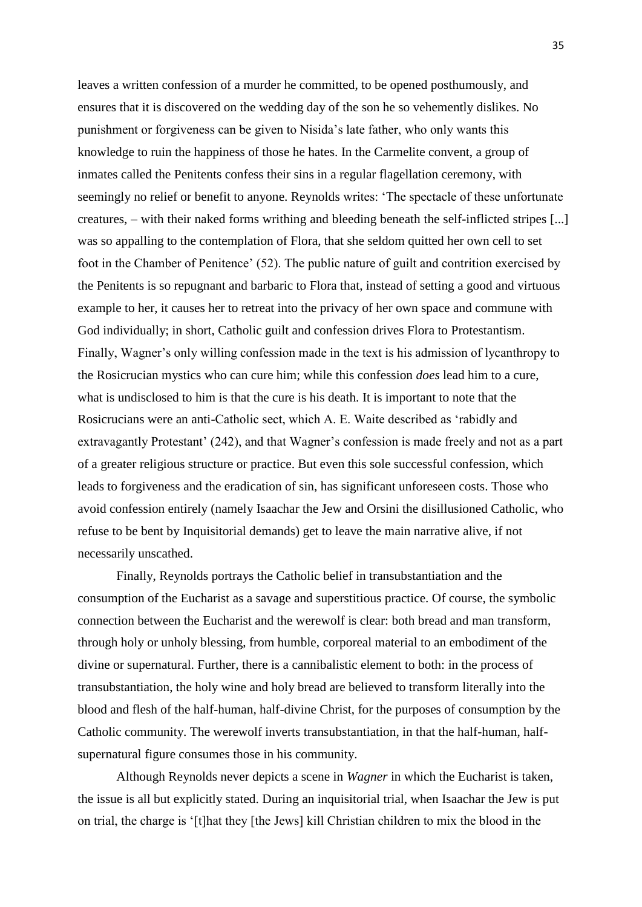leaves a written confession of a murder he committed, to be opened posthumously, and ensures that it is discovered on the wedding day of the son he so vehemently dislikes. No punishment or forgiveness can be given to Nisida's late father, who only wants this knowledge to ruin the happiness of those he hates. In the Carmelite convent, a group of inmates called the Penitents confess their sins in a regular flagellation ceremony, with seemingly no relief or benefit to anyone. Reynolds writes: 'The spectacle of these unfortunate creatures, – with their naked forms writhing and bleeding beneath the self-inflicted stripes [...] was so appalling to the contemplation of Flora, that she seldom quitted her own cell to set foot in the Chamber of Penitence' (52). The public nature of guilt and contrition exercised by the Penitents is so repugnant and barbaric to Flora that, instead of setting a good and virtuous example to her, it causes her to retreat into the privacy of her own space and commune with God individually; in short, Catholic guilt and confession drives Flora to Protestantism. Finally, Wagner's only willing confession made in the text is his admission of lycanthropy to the Rosicrucian mystics who can cure him; while this confession *does* lead him to a cure, what is undisclosed to him is that the cure is his death. It is important to note that the Rosicrucians were an anti-Catholic sect, which A. E. Waite described as 'rabidly and extravagantly Protestant' (242), and that Wagner's confession is made freely and not as a part of a greater religious structure or practice. But even this sole successful confession, which leads to forgiveness and the eradication of sin, has significant unforeseen costs. Those who avoid confession entirely (namely Isaachar the Jew and Orsini the disillusioned Catholic, who refuse to be bent by Inquisitorial demands) get to leave the main narrative alive, if not necessarily unscathed.

Finally, Reynolds portrays the Catholic belief in transubstantiation and the consumption of the Eucharist as a savage and superstitious practice. Of course, the symbolic connection between the Eucharist and the werewolf is clear: both bread and man transform, through holy or unholy blessing, from humble, corporeal material to an embodiment of the divine or supernatural. Further, there is a cannibalistic element to both: in the process of transubstantiation, the holy wine and holy bread are believed to transform literally into the blood and flesh of the half-human, half-divine Christ, for the purposes of consumption by the Catholic community. The werewolf inverts transubstantiation, in that the half-human, halfsupernatural figure consumes those in his community.

Although Reynolds never depicts a scene in *Wagner* in which the Eucharist is taken, the issue is all but explicitly stated. During an inquisitorial trial, when Isaachar the Jew is put on trial, the charge is '[t]hat they [the Jews] kill Christian children to mix the blood in the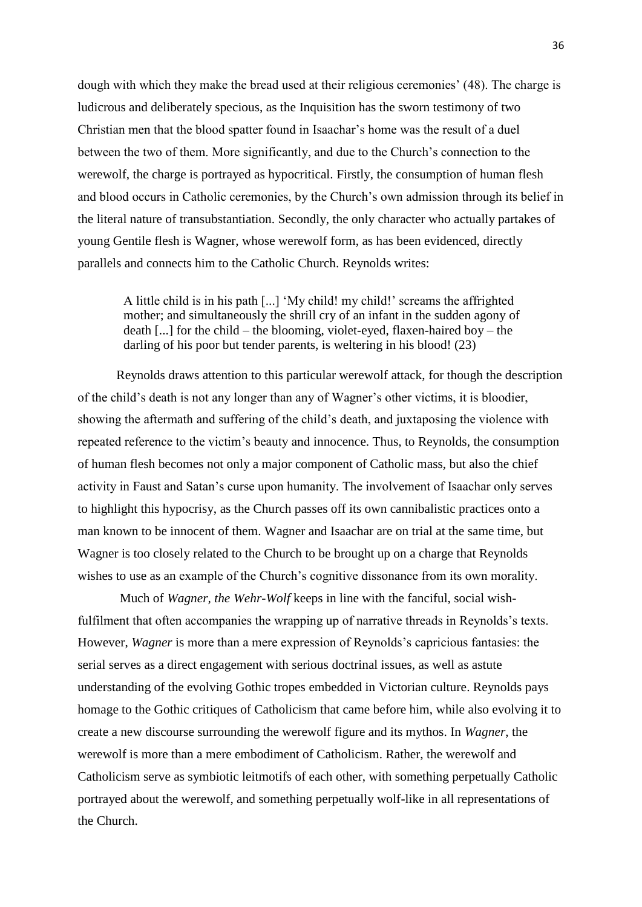dough with which they make the bread used at their religious ceremonies' (48). The charge is ludicrous and deliberately specious, as the Inquisition has the sworn testimony of two Christian men that the blood spatter found in Isaachar's home was the result of a duel between the two of them. More significantly, and due to the Church's connection to the werewolf, the charge is portrayed as hypocritical. Firstly, the consumption of human flesh and blood occurs in Catholic ceremonies, by the Church's own admission through its belief in the literal nature of transubstantiation. Secondly, the only character who actually partakes of young Gentile flesh is Wagner, whose werewolf form, as has been evidenced, directly parallels and connects him to the Catholic Church. Reynolds writes:

A little child is in his path [...] 'My child! my child!' screams the affrighted mother; and simultaneously the shrill cry of an infant in the sudden agony of death [...] for the child – the blooming, violet-eyed, flaxen-haired boy – the darling of his poor but tender parents, is weltering in his blood! (23)

Reynolds draws attention to this particular werewolf attack, for though the description of the child's death is not any longer than any of Wagner's other victims, it is bloodier, showing the aftermath and suffering of the child's death, and juxtaposing the violence with repeated reference to the victim's beauty and innocence. Thus, to Reynolds, the consumption of human flesh becomes not only a major component of Catholic mass, but also the chief activity in Faust and Satan's curse upon humanity. The involvement of Isaachar only serves to highlight this hypocrisy, as the Church passes off its own cannibalistic practices onto a man known to be innocent of them. Wagner and Isaachar are on trial at the same time, but Wagner is too closely related to the Church to be brought up on a charge that Reynolds wishes to use as an example of the Church's cognitive dissonance from its own morality.

Much of *Wagner, the Wehr-Wolf* keeps in line with the fanciful, social wishfulfilment that often accompanies the wrapping up of narrative threads in Reynolds's texts. However, *Wagner* is more than a mere expression of Reynolds's capricious fantasies: the serial serves as a direct engagement with serious doctrinal issues, as well as astute understanding of the evolving Gothic tropes embedded in Victorian culture. Reynolds pays homage to the Gothic critiques of Catholicism that came before him, while also evolving it to create a new discourse surrounding the werewolf figure and its mythos. In *Wagner*, the werewolf is more than a mere embodiment of Catholicism. Rather, the werewolf and Catholicism serve as symbiotic leitmotifs of each other, with something perpetually Catholic portrayed about the werewolf, and something perpetually wolf-like in all representations of the Church.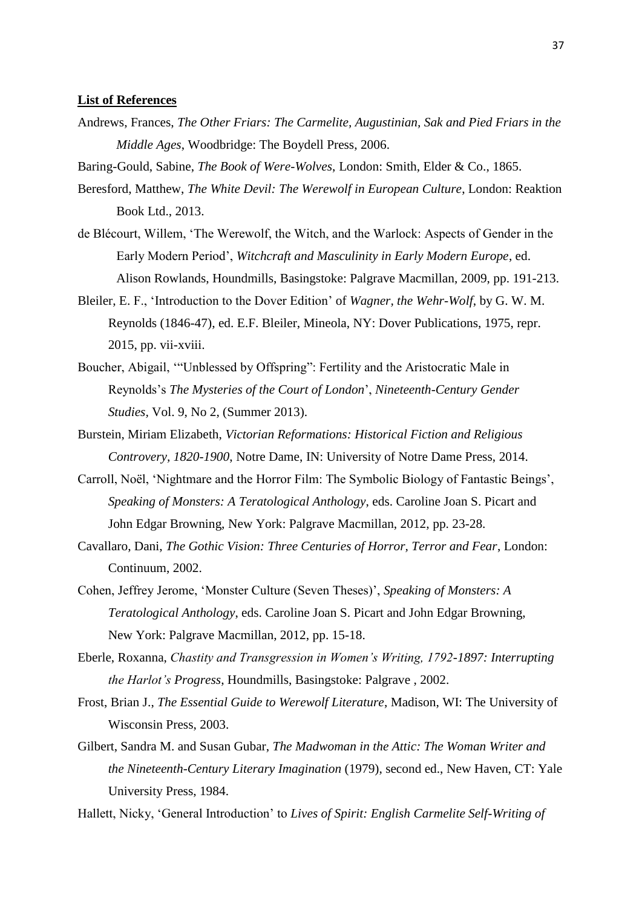## **List of References**

Andrews, Frances, *The Other Friars: The Carmelite, Augustinian, Sak and Pied Friars in the Middle Ages*, Woodbridge: The Boydell Press, 2006.

Baring-Gould, Sabine, *The Book of Were-Wolves*, London: Smith, Elder & Co., 1865.

- Beresford, Matthew, *The White Devil: The Werewolf in European Culture*, London: Reaktion Book Ltd., 2013.
- de Blécourt, Willem, 'The Werewolf, the Witch, and the Warlock: Aspects of Gender in the Early Modern Period', *Witchcraft and Masculinity in Early Modern Europe*, ed. Alison Rowlands, Houndmills, Basingstoke: Palgrave Macmillan, 2009, pp. 191-213.
- Bleiler, E. F., 'Introduction to the Dover Edition' of *Wagner, the Wehr-Wolf*, by G. W. M. Reynolds (1846-47), ed. E.F. Bleiler, Mineola, NY: Dover Publications, 1975, repr. 2015, pp. vii-xviii.
- Boucher, Abigail, '"Unblessed by Offspring": Fertility and the Aristocratic Male in Reynolds's *The Mysteries of the Court of London*', *Nineteenth-Century Gender Studies,* Vol. 9, No 2, (Summer 2013).
- Burstein, Miriam Elizabeth, *Victorian Reformations: Historical Fiction and Religious Controvery, 1820-1900*, Notre Dame, IN: University of Notre Dame Press, 2014.
- Carroll, Noël, 'Nightmare and the Horror Film: The Symbolic Biology of Fantastic Beings', *Speaking of Monsters: A Teratological Anthology*, eds. Caroline Joan S. Picart and John Edgar Browning, New York: Palgrave Macmillan, 2012, pp. 23-28.
- Cavallaro, Dani, *The Gothic Vision: Three Centuries of Horror, Terror and Fear*, London: Continuum, 2002.
- Cohen, Jeffrey Jerome, 'Monster Culture (Seven Theses)', *Speaking of Monsters: A Teratological Anthology*, eds. Caroline Joan S. Picart and John Edgar Browning, New York: Palgrave Macmillan, 2012, pp. 15-18.
- Eberle, Roxanna, *Chastity and Transgression in Women's Writing, 1792-1897: Interrupting the Harlot's Progress*, Houndmills, Basingstoke: Palgrave , 2002.
- Frost, Brian J., *The Essential Guide to Werewolf Literature*, Madison, WI: The University of Wisconsin Press, 2003.
- Gilbert, Sandra M. and Susan Gubar, *The Madwoman in the Attic: The Woman Writer and the Nineteenth-Century Literary Imagination* (1979), second ed., New Haven, CT: Yale University Press, 1984.

Hallett, Nicky, 'General Introduction' to *Lives of Spirit: English Carmelite Self-Writing of*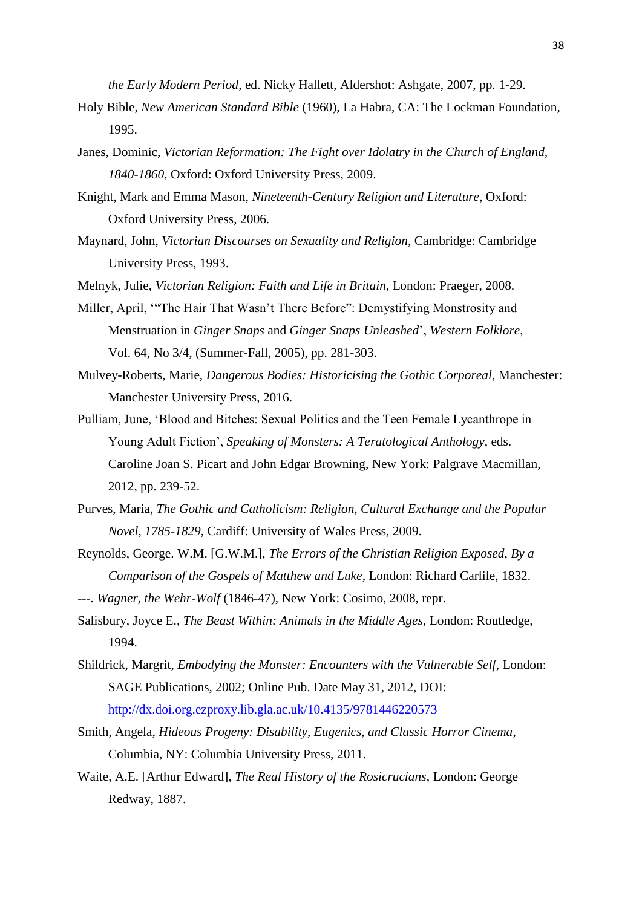*the Early Modern Period*, ed. Nicky Hallett, Aldershot: Ashgate, 2007, pp. 1-29.

- Holy Bible, *New American Standard Bible* (1960), La Habra, CA: The Lockman Foundation, 1995.
- Janes, Dominic, *Victorian Reformation: The Fight over Idolatry in the Church of England, 1840-1860*, Oxford: Oxford University Press, 2009.
- Knight, Mark and Emma Mason, *Nineteenth-Century Religion and Literature*, Oxford: Oxford University Press, 2006.
- Maynard, John, *Victorian Discourses on Sexuality and Religion*, Cambridge: Cambridge University Press, 1993.

Melnyk, Julie, *Victorian Religion: Faith and Life in Britain*, London: Praeger, 2008.

- Miller, April, '"The Hair That Wasn't There Before": Demystifying Monstrosity and Menstruation in *Ginger Snaps* and *Ginger Snaps Unleashed*', *Western Folklore*, Vol. 64, No 3/4, (Summer-Fall, 2005), pp. 281-303.
- Mulvey-Roberts, Marie, *Dangerous Bodies: Historicising the Gothic Corporeal*, Manchester: Manchester University Press, 2016.
- Pulliam, June, 'Blood and Bitches: Sexual Politics and the Teen Female Lycanthrope in Young Adult Fiction', *Speaking of Monsters: A Teratological Anthology*, eds. Caroline Joan S. Picart and John Edgar Browning, New York: Palgrave Macmillan, 2012, pp. 239-52.
- Purves, Maria, *The Gothic and Catholicism: Religion, Cultural Exchange and the Popular Novel, 1785-1829*, Cardiff: University of Wales Press, 2009.
- Reynolds, George. W.M. [G.W.M.], *The Errors of the Christian Religion Exposed, By a Comparison of the Gospels of Matthew and Luke*, London: Richard Carlile, 1832.
- ---. *Wagner, the Wehr-Wolf* (1846-47), New York: Cosimo, 2008, repr.
- Salisbury, Joyce E., *The Beast Within: Animals in the Middle Ages*, London: Routledge, 1994.
- Shildrick, Margrit, *Embodying the Monster: Encounters with the Vulnerable Self*, London: SAGE Publications, 2002; Online Pub. Date May 31, 2012, DOI: <http://dx.doi.org.ezproxy.lib.gla.ac.uk/10.4135/9781446220573>
- Smith, Angela, *Hideous Progeny: Disability, Eugenics, and Classic Horror Cinema*, Columbia, NY: Columbia University Press, 2011.
- Waite, A.E. [Arthur Edward], *The Real History of the Rosicrucians*, London: George Redway, 1887.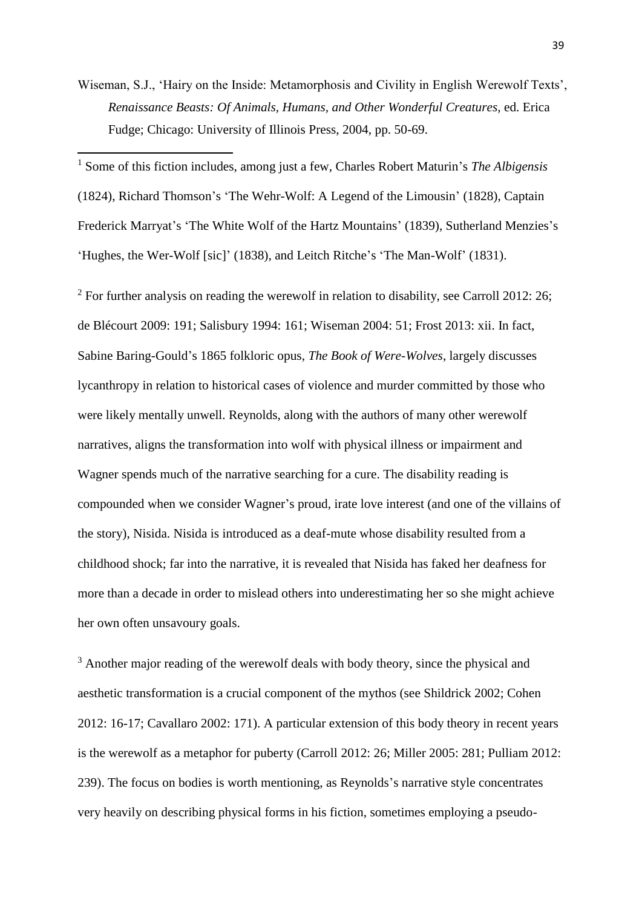Wiseman, S.J., 'Hairy on the Inside: Metamorphosis and Civility in English Werewolf Texts', *Renaissance Beasts: Of Animals, Humans, and Other Wonderful Creatures*, ed. Erica Fudge; Chicago: University of Illinois Press, 2004, pp. 50-69.

<sup>1</sup> Some of this fiction includes, among just a few, Charles Robert Maturin's *The Albigensis*  (1824), Richard Thomson's 'The Wehr-Wolf: A Legend of the Limousin' (1828), Captain Frederick Marryat's 'The White Wolf of the Hartz Mountains' (1839), Sutherland Menzies's 'Hughes, the Wer-Wolf [sic]' (1838), and Leitch Ritche's 'The Man-Wolf' (1831).

**.** 

 $2$  For further analysis on reading the werewolf in relation to disability, see Carroll 2012: 26; de Blécourt 2009: 191; Salisbury 1994: 161; Wiseman 2004: 51; Frost 2013: xii. In fact, Sabine Baring-Gould's 1865 folkloric opus, *The Book of Were-Wolves*, largely discusses lycanthropy in relation to historical cases of violence and murder committed by those who were likely mentally unwell. Reynolds, along with the authors of many other werewolf narratives, aligns the transformation into wolf with physical illness or impairment and Wagner spends much of the narrative searching for a cure. The disability reading is compounded when we consider Wagner's proud, irate love interest (and one of the villains of the story), Nisida. Nisida is introduced as a deaf-mute whose disability resulted from a childhood shock; far into the narrative, it is revealed that Nisida has faked her deafness for more than a decade in order to mislead others into underestimating her so she might achieve her own often unsavoury goals.

<sup>3</sup> Another major reading of the werewolf deals with body theory, since the physical and aesthetic transformation is a crucial component of the mythos (see Shildrick 2002; Cohen 2012: 16-17; Cavallaro 2002: 171). A particular extension of this body theory in recent years is the werewolf as a metaphor for puberty (Carroll 2012: 26; Miller 2005: 281; Pulliam 2012: 239). The focus on bodies is worth mentioning, as Reynolds's narrative style concentrates very heavily on describing physical forms in his fiction, sometimes employing a pseudo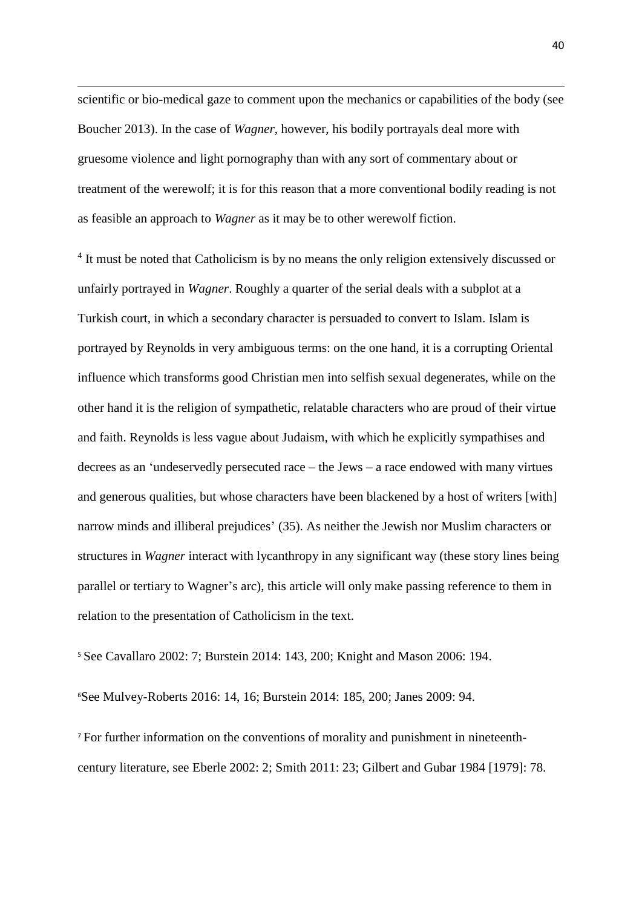scientific or bio-medical gaze to comment upon the mechanics or capabilities of the body (see Boucher 2013). In the case of *Wagner*, however, his bodily portrayals deal more with gruesome violence and light pornography than with any sort of commentary about or treatment of the werewolf; it is for this reason that a more conventional bodily reading is not as feasible an approach to *Wagner* as it may be to other werewolf fiction.

1

<sup>4</sup> It must be noted that Catholicism is by no means the only religion extensively discussed or unfairly portrayed in *Wagner*. Roughly a quarter of the serial deals with a subplot at a Turkish court, in which a secondary character is persuaded to convert to Islam. Islam is portrayed by Reynolds in very ambiguous terms: on the one hand, it is a corrupting Oriental influence which transforms good Christian men into selfish sexual degenerates, while on the other hand it is the religion of sympathetic, relatable characters who are proud of their virtue and faith. Reynolds is less vague about Judaism, with which he explicitly sympathises and decrees as an 'undeservedly persecuted race – the Jews – a race endowed with many virtues and generous qualities, but whose characters have been blackened by a host of writers [with] narrow minds and illiberal prejudices' (35). As neither the Jewish nor Muslim characters or structures in *Wagner* interact with lycanthropy in any significant way (these story lines being parallel or tertiary to Wagner's arc), this article will only make passing reference to them in relation to the presentation of Catholicism in the text.

<sup>5</sup> See Cavallaro 2002: 7; Burstein 2014: 143, 200; Knight and Mason 2006: 194.

<sup>6</sup>See Mulvey-Roberts 2016: 14, 16; Burstein 2014: 185, 200; Janes 2009: 94.

<sup>7</sup> For further information on the conventions of morality and punishment in nineteenthcentury literature, see Eberle 2002: 2; Smith 2011: 23; Gilbert and Gubar 1984 [1979]: 78.